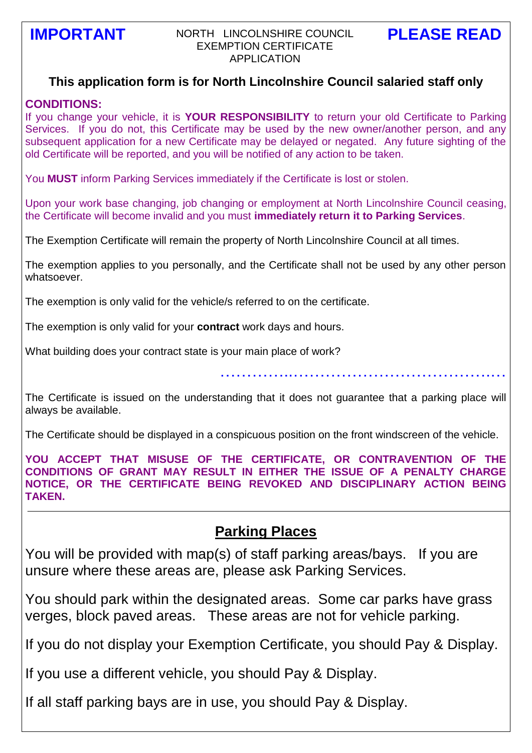### **IMPORTANT** NORTH LINCOLNSHIRE COUNCIL PLEASE READ EXEMPTION CERTIFICATE APPLICATION

## **This application form is for North Lincolnshire Council salaried staff only**

#### **CONDITIONS:**

If you change your vehicle, it is **YOUR RESPONSIBILITY** to return your old Certificate to Parking Services. If you do not, this Certificate may be used by the new owner/another person, and any subsequent application for a new Certificate may be delayed or negated. Any future sighting of the old Certificate will be reported, and you will be notified of any action to be taken.

You **MUST** inform Parking Services immediately if the Certificate is lost or stolen.

Upon your work base changing, job changing or employment at North Lincolnshire Council ceasing, the Certificate will become invalid and you must **immediately return it to Parking Services**.

The Exemption Certificate will remain the property of North Lincolnshire Council at all times.

The exemption applies to you personally, and the Certificate shall not be used by any other person whatsoever.

The exemption is only valid for the vehicle/s referred to on the certificate.

The exemption is only valid for your **contract** work days and hours.

What building does your contract state is your main place of work?

…………..……………………………….…

The Certificate is issued on the understanding that it does not guarantee that a parking place will always be available.

The Certificate should be displayed in a conspicuous position on the front windscreen of the vehicle.

**YOU ACCEPT THAT MISUSE OF THE CERTIFICATE, OR CONTRAVENTION OF THE CONDITIONS OF GRANT MAY RESULT IN EITHER THE ISSUE OF A PENALTY CHARGE NOTICE, OR THE CERTIFICATE BEING REVOKED AND DISCIPLINARY ACTION BEING TAKEN.**

# **Parking Places**

You will be provided with map(s) of staff parking areas/bays. If you are unsure where these areas are, please ask Parking Services.

You should park within the designated areas. Some car parks have grass verges, block paved areas. These areas are not for vehicle parking.

If you do not display your Exemption Certificate, you should Pay & Display.

If you use a different vehicle, you should Pay & Display.

If all staff parking bays are in use, you should Pay & Display.